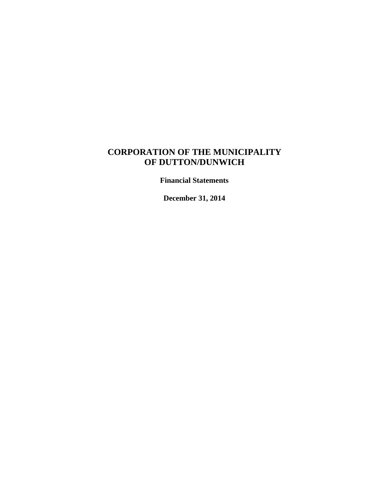### **CORPORATION OF THE MUNICIPALITY OF DUTTON/DUNWICH**

**Financial Statements**

**December 31, 2014**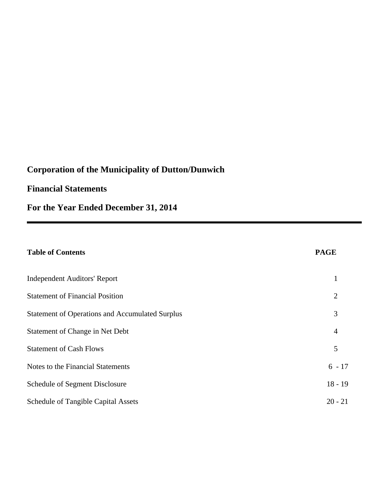### **Financial Statements**

**For the Year Ended December 31, 2014**

## **Table of Contents**

|--|

| Independent Auditors' Report                           |                |
|--------------------------------------------------------|----------------|
| <b>Statement of Financial Position</b>                 | $\overline{2}$ |
| <b>Statement of Operations and Accumulated Surplus</b> | 3              |
| Statement of Change in Net Debt                        | $\overline{4}$ |
| <b>Statement of Cash Flows</b>                         | 5              |
| Notes to the Financial Statements                      | $6 - 17$       |
| Schedule of Segment Disclosure                         | $18 - 19$      |
| <b>Schedule of Tangible Capital Assets</b>             | $20 - 21$      |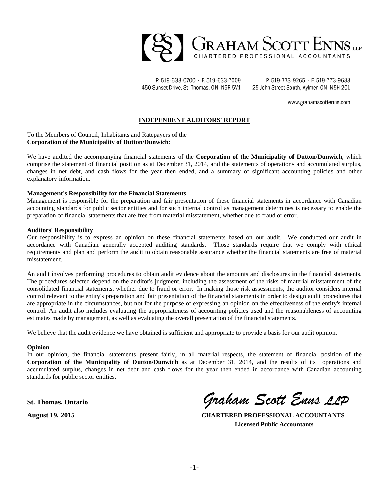

P. 519-633-0700 · F. 519-633-7009 450 Sunset Drive, St. Thomas, ON N5R 5V1

P. 519-773-9265 · F. 519-773-9683 25 John Street South, Aylmer, ON N5H 2C1

www.grahamscottenns.com

#### **INDEPENDENT AUDITORS' REPORT**

To the Members of Council, Inhabitants and Ratepayers of the **Corporation of the Municipality of Dutton/Dunwich**:

We have audited the accompanying financial statements of the **Corporation of the Municipality of Dutton/Dunwich**, which comprise the statement of financial position as at December 31, 2014, and the statements of operations and accumulated surplus, changes in net debt, and cash flows for the year then ended, and a summary of significant accounting policies and other explanatory information.

#### **Management's Responsibility for the Financial Statements**

Management is responsible for the preparation and fair presentation of these financial statements in accordance with Canadian accounting standards for public sector entities and for such internal control as management determines is necessary to enable the preparation of financial statements that are free from material misstatement, whether due to fraud or error.

#### **Auditors' Responsibility**

Our responsibility is to express an opinion on these financial statements based on our audit. We conducted our audit in accordance with Canadian generally accepted auditing standards. Those standards require that we comply with ethical requirements and plan and perform the audit to obtain reasonable assurance whether the financial statements are free of material misstatement.

An audit involves performing procedures to obtain audit evidence about the amounts and disclosures in the financial statements. The procedures selected depend on the auditor's judgment, including the assessment of the risks of material misstatement of the consolidated financial statements, whether due to fraud or error. In making those risk assessments, the auditor considers internal control relevant to the entity's preparation and fair presentation of the financial statements in order to design audit procedures that are appropriate in the circumstances, but not for the purpose of expressing an opinion on the effectiveness of the entity's internal control. An audit also includes evaluating the appropriateness of accounting policies used and the reasonableness of accounting estimates made by management, as well as evaluating the overall presentation of the financial statements.

We believe that the audit evidence we have obtained is sufficient and appropriate to provide a basis for our audit opinion.

#### **Opinion**

In our opinion, the financial statements present fairly, in all material respects, the statement of financial position of the **Corporation of the Municipality of Dutton/Dunwich** as at December 31, 2014, and the results of its operations and accumulated surplus, changes in net debt and cash flows for the year then ended in accordance with Canadian accounting standards for public sector entities.

**St. Thomas, Ontario** *Graham Scott Enns LLP*

**August 19, 2015 CHARTERED PROFESSIONAL ACCOUNTANTS Licensed Public Accountants**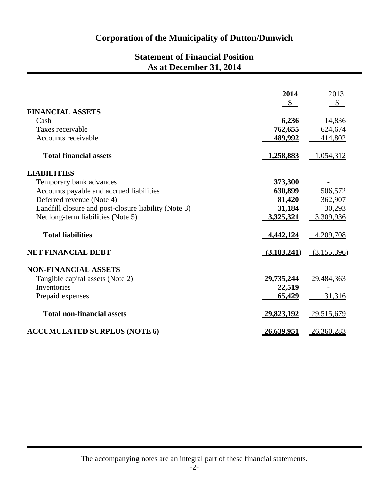## **Statement of Financial Position As at December 31, 2014**

|                                                      | 2014              | 2013          |
|------------------------------------------------------|-------------------|---------------|
| <b>FINANCIAL ASSETS</b>                              | $\frac{1}{2}$     | $\mathcal{S}$ |
| Cash                                                 | 6,236             | 14,836        |
| Taxes receivable                                     | 762,655           | 624,674       |
| Accounts receivable                                  | 489,992           | 414,802       |
|                                                      |                   |               |
| <b>Total financial assets</b>                        | 1,258,883         | 1,054,312     |
| <b>LIABILITIES</b>                                   |                   |               |
| Temporary bank advances                              | 373,300           |               |
| Accounts payable and accrued liabilities             | 630,899           | 506,572       |
| Deferred revenue (Note 4)                            | 81,420            | 362,907       |
| Landfill closure and post-closure liability (Note 3) | 31,184            | 30,293        |
| Net long-term liabilities (Note 5)                   | 3,325,321         | 3,309,936     |
| <b>Total liabilities</b>                             | 4,442,124         | 4,209,708     |
| <b>NET FINANCIAL DEBT</b>                            | (3,183,241)       | (3,155,396)   |
| <b>NON-FINANCIAL ASSETS</b>                          |                   |               |
| Tangible capital assets (Note 2)                     | 29,735,244        | 29,484,363    |
| <b>Inventories</b>                                   | 22,519            |               |
| Prepaid expenses                                     | 65,429            | 31,316        |
| <b>Total non-financial assets</b>                    | <u>29,823,192</u> | 29,515,679    |
| <b>ACCUMULATED SURPLUS (NOTE 6)</b>                  | 26,639,951        | 26,360,283    |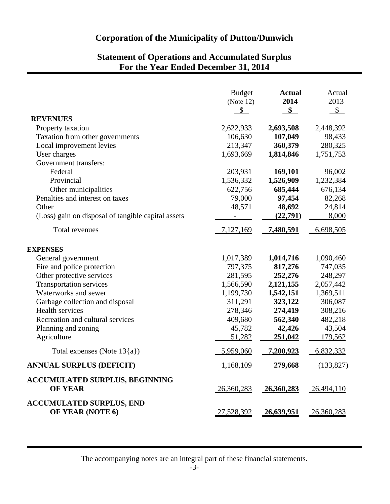## **Statement of Operations and Accumulated Surplus For the Year Ended December 31, 2014**

|                                                    | <b>Budget</b>     | <b>Actual</b>     | Actual         |
|----------------------------------------------------|-------------------|-------------------|----------------|
|                                                    | (Note 12)         | 2014              | 2013           |
|                                                    | \$                | $\frac{1}{2}$     | $\mathbb{S}$   |
| <b>REVENUES</b>                                    |                   |                   |                |
| Property taxation                                  | 2,622,933         | 2,693,508         | 2,448,392      |
| Taxation from other governments                    | 106,630           | 107,049           | 98,433         |
| Local improvement levies                           | 213,347           | 360,379           | 280,325        |
| User charges                                       | 1,693,669         | 1,814,846         | 1,751,753      |
| Government transfers:                              |                   |                   |                |
| Federal                                            | 203,931           | 169,101           | 96,002         |
| Provincial                                         | 1,536,332         | 1,526,909         | 1,232,384      |
| Other municipalities                               | 622,756           | 685,444           | 676,134        |
| Penalties and interest on taxes                    | 79,000            | 97,454            | 82,268         |
| Other                                              | 48,571            | 48,692            | 24,814         |
| (Loss) gain on disposal of tangible capital assets |                   | (22,791)          | 8,000          |
|                                                    |                   |                   |                |
| <b>Total revenues</b>                              | 7,127,169         | <u>7,480,591</u>  | 6,698,505      |
|                                                    |                   |                   |                |
| <b>EXPENSES</b>                                    |                   |                   |                |
| General government                                 | 1,017,389         | 1,014,716         | 1,090,460      |
| Fire and police protection                         | 797,375           | 817,276           | 747,035        |
| Other protective services                          | 281,595           | 252,276           | 248,297        |
| <b>Transportation services</b>                     | 1,566,590         | 2,121,155         | 2,057,442      |
| Waterworks and sewer                               | 1,199,730         | 1,542,151         | 1,369,511      |
| Garbage collection and disposal                    | 311,291           | 323,122           | 306,087        |
| Health services                                    | 278,346           | 274,419           | 308,216        |
| Recreation and cultural services                   | 409,680           | 562,340           | 482,218        |
| Planning and zoning                                | 45,782            | 42,426            | 43,504         |
| Agriculture                                        | 51,282            | 251,042           | <u>179,562</u> |
| Total expenses (Note $13{a}$ )                     | 5,959,060         | <u>7,200,923</u>  | 6,832,332      |
| <b>ANNUAL SURPLUS (DEFICIT)</b>                    | 1,168,109         | 279,668           | (133, 827)     |
| <b>ACCUMULATED SURPLUS, BEGINNING</b>              |                   |                   |                |
| <b>OF YEAR</b>                                     | 26,360,283        | <u>26,360,283</u> | 26,494,110     |
| <b>ACCUMULATED SURPLUS, END</b>                    |                   |                   |                |
| OF YEAR (NOTE 6)                                   | <u>27,528,392</u> | <u>26,639,951</u> | 26,360,283     |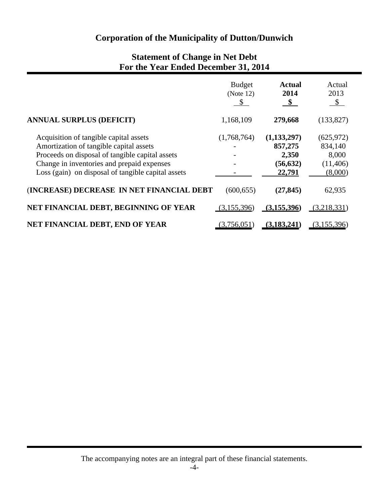### **Statement of Change in Net Debt For the Year Ended December 31, 2014**

|                                                                                                                                                                                                                                          | <b>Budget</b><br>(Note 12)<br>\$ | <b>Actual</b><br>2014<br>\$                              | Actual<br>2013<br>$\mathcal{S}$                       |
|------------------------------------------------------------------------------------------------------------------------------------------------------------------------------------------------------------------------------------------|----------------------------------|----------------------------------------------------------|-------------------------------------------------------|
| <b>ANNUAL SURPLUS (DEFICIT)</b>                                                                                                                                                                                                          | 1,168,109                        | 279,668                                                  | (133, 827)                                            |
| Acquisition of tangible capital assets<br>Amortization of tangible capital assets<br>Proceeds on disposal of tangible capital assets<br>Change in inventories and prepaid expenses<br>Loss (gain) on disposal of tangible capital assets | (1,768,764)                      | (1, 133, 297)<br>857,275<br>2,350<br>(56, 632)<br>22,791 | (625, 972)<br>834,140<br>8,000<br>(11,406)<br>(8,000) |
| (INCREASE) DECREASE IN NET FINANCIAL DEBT                                                                                                                                                                                                | (600, 655)                       | (27, 845)                                                | 62,935                                                |
| NET FINANCIAL DEBT, BEGINNING OF YEAR                                                                                                                                                                                                    | (3,155,396)                      | (3,155,396)                                              | (3,218,331)                                           |
| NET FINANCIAL DEBT, END OF YEAR                                                                                                                                                                                                          | (3,756,051)                      | (3, 183, 241)                                            | (3,155,396)                                           |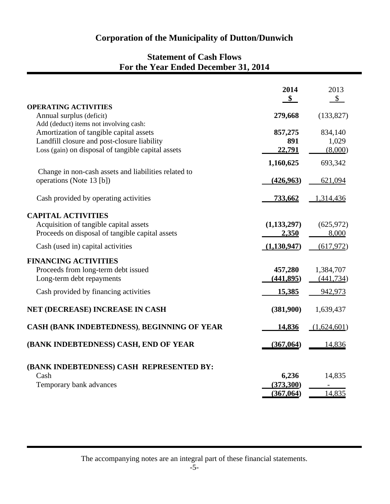## **Statement of Cash Flows For the Year Ended December 31, 2014**

|                                                      | 2014          | 2013        |
|------------------------------------------------------|---------------|-------------|
|                                                      | \$            | $\sqrt{\ }$ |
| <b>OPERATING ACTIVITIES</b>                          |               |             |
| Annual surplus (deficit)                             | 279,668       | (133, 827)  |
| Add (deduct) items not involving cash:               |               |             |
| Amortization of tangible capital assets              | 857,275       | 834,140     |
| Landfill closure and post-closure liability          | 891<br>22,791 | 1,029       |
| Loss (gain) on disposal of tangible capital assets   |               | (8,000)     |
|                                                      | 1,160,625     | 693,342     |
| Change in non-cash assets and liabilities related to |               |             |
| operations (Note 13 [b])                             | (426, 963)    | 621,094     |
| Cash provided by operating activities                | 733,662       | 1,314,436   |
|                                                      |               |             |
| <b>CAPITAL ACTIVITIES</b>                            |               |             |
| Acquisition of tangible capital assets               | (1, 133, 297) | (625, 972)  |
| Proceeds on disposal of tangible capital assets      | 2,350         | 8,000       |
| Cash (used in) capital activities                    | (1,130,947)   | (617,972)   |
| <b>FINANCING ACTIVITIES</b>                          |               |             |
| Proceeds from long-term debt issued                  | 457,280       | 1,384,707   |
| Long-term debt repayments                            | (441,895)     | (441, 734)  |
| Cash provided by financing activities                | <u>15,385</u> | 942,973     |
| NET (DECREASE) INCREASE IN CASH                      | (381,900)     | 1,639,437   |
| CASH (BANK INDEBTEDNESS), BEGINNING OF YEAR          | 14,836        | (1,624,601) |
| (BANK INDEBTEDNESS) CASH, END OF YEAR                | (367, 064)    | 14,836      |
| (BANK INDEBTEDNESS) CASH REPRESENTED BY:             |               |             |
| Cash                                                 | 6,236         | 14,835      |
| Temporary bank advances                              | (373,300)     |             |
|                                                      | (367,064)     | 14,835      |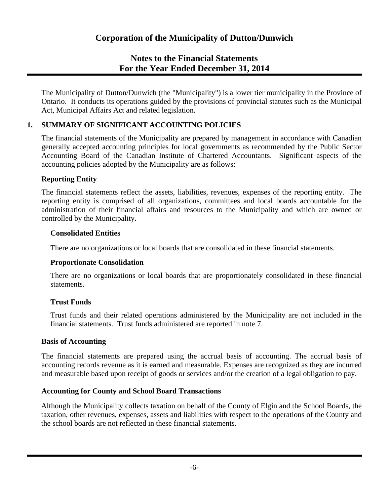The Municipality of Dutton/Dunwich (the "Municipality") is a lower tier municipality in the Province of Ontario. It conducts its operations guided by the provisions of provincial statutes such as the Municipal Act, Municipal Affairs Act and related legislation.

### **1. SUMMARY OF SIGNIFICANT ACCOUNTING POLICIES**

The financial statements of the Municipality are prepared by management in accordance with Canadian generally accepted accounting principles for local governments as recommended by the Public Sector Accounting Board of the Canadian Institute of Chartered Accountants. Significant aspects of the accounting policies adopted by the Municipality are as follows:

#### **Reporting Entity**

The financial statements reflect the assets, liabilities, revenues, expenses of the reporting entity. The reporting entity is comprised of all organizations, committees and local boards accountable for the administration of their financial affairs and resources to the Municipality and which are owned or controlled by the Municipality.

#### **Consolidated Entities**

There are no organizations or local boards that are consolidated in these financial statements.

#### **Proportionate Consolidation**

There are no organizations or local boards that are proportionately consolidated in these financial statements.

### **Trust Funds**

Trust funds and their related operations administered by the Municipality are not included in the financial statements. Trust funds administered are reported in note 7.

#### **Basis of Accounting**

The financial statements are prepared using the accrual basis of accounting. The accrual basis of accounting records revenue as it is earned and measurable. Expenses are recognized as they are incurred and measurable based upon receipt of goods or services and/or the creation of a legal obligation to pay.

### **Accounting for County and School Board Transactions**

Although the Municipality collects taxation on behalf of the County of Elgin and the School Boards, the taxation, other revenues, expenses, assets and liabilities with respect to the operations of the County and the school boards are not reflected in these financial statements.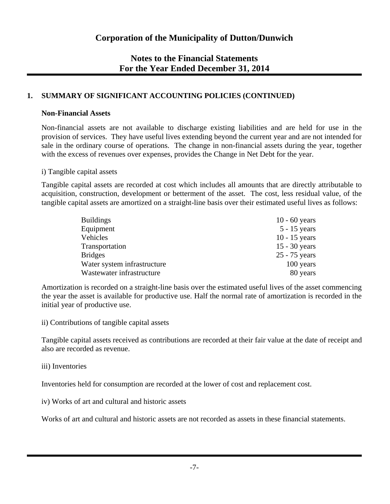### **1. SUMMARY OF SIGNIFICANT ACCOUNTING POLICIES (CONTINUED)**

#### **Non-Financial Assets**

Non-financial assets are not available to discharge existing liabilities and are held for use in the provision of services. They have useful lives extending beyond the current year and are not intended for sale in the ordinary course of operations. The change in non-financial assets during the year, together with the excess of revenues over expenses, provides the Change in Net Debt for the year.

#### i) Tangible capital assets

Tangible capital assets are recorded at cost which includes all amounts that are directly attributable to acquisition, construction, development or betterment of the asset. The cost, less residual value, of the tangible capital assets are amortized on a straight-line basis over their estimated useful lives as follows:

| <b>Buildings</b>            | $10 - 60$ years |
|-----------------------------|-----------------|
| Equipment                   | $5 - 15$ years  |
| Vehicles                    | $10 - 15$ years |
| Transportation              | $15 - 30$ years |
| <b>Bridges</b>              | 25 - 75 years   |
| Water system infrastructure | 100 years       |
| Wastewater infrastructure   | 80 years        |

Amortization is recorded on a straight-line basis over the estimated useful lives of the asset commencing the year the asset is available for productive use. Half the normal rate of amortization is recorded in the initial year of productive use.

ii) Contributions of tangible capital assets

Tangible capital assets received as contributions are recorded at their fair value at the date of receipt and also are recorded as revenue.

#### iii) Inventories

Inventories held for consumption are recorded at the lower of cost and replacement cost.

iv) Works of art and cultural and historic assets

Works of art and cultural and historic assets are not recorded as assets in these financial statements.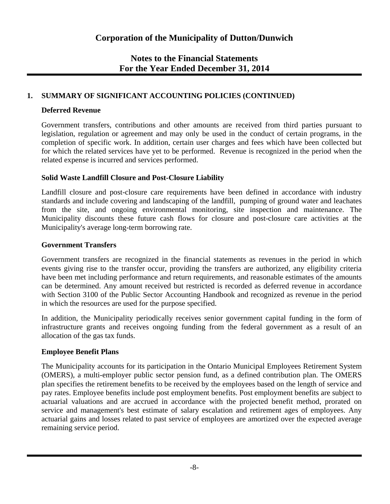### **1. SUMMARY OF SIGNIFICANT ACCOUNTING POLICIES (CONTINUED)**

#### **Deferred Revenue**

Government transfers, contributions and other amounts are received from third parties pursuant to legislation, regulation or agreement and may only be used in the conduct of certain programs, in the completion of specific work. In addition, certain user charges and fees which have been collected but for which the related services have yet to be performed. Revenue is recognized in the period when the related expense is incurred and services performed.

### **Solid Waste Landfill Closure and Post-Closure Liability**

Landfill closure and post-closure care requirements have been defined in accordance with industry standards and include covering and landscaping of the landfill, pumping of ground water and leachates from the site, and ongoing environmental monitoring, site inspection and maintenance. The Municipality discounts these future cash flows for closure and post-closure care activities at the Municipality's average long-term borrowing rate.

### **Government Transfers**

Government transfers are recognized in the financial statements as revenues in the period in which events giving rise to the transfer occur, providing the transfers are authorized, any eligibility criteria have been met including performance and return requirements, and reasonable estimates of the amounts can be determined. Any amount received but restricted is recorded as deferred revenue in accordance with Section 3100 of the Public Sector Accounting Handbook and recognized as revenue in the period in which the resources are used for the purpose specified.

In addition, the Municipality periodically receives senior government capital funding in the form of infrastructure grants and receives ongoing funding from the federal government as a result of an allocation of the gas tax funds.

### **Employee Benefit Plans**

The Municipality accounts for its participation in the Ontario Municipal Employees Retirement System (OMERS), a multi-employer public sector pension fund, as a defined contribution plan. The OMERS plan specifies the retirement benefits to be received by the employees based on the length of service and pay rates. Employee benefits include post employment benefits. Post employment benefits are subject to actuarial valuations and are accrued in accordance with the projected benefit method, prorated on service and management's best estimate of salary escalation and retirement ages of employees. Any actuarial gains and losses related to past service of employees are amortized over the expected average remaining service period.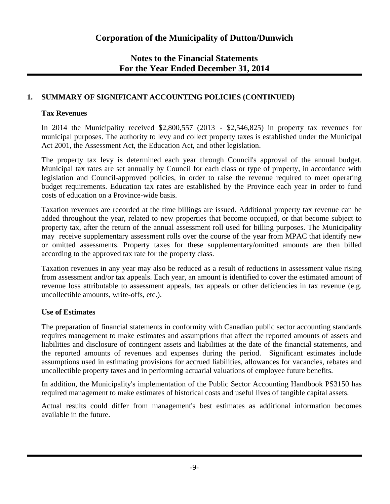### **1. SUMMARY OF SIGNIFICANT ACCOUNTING POLICIES (CONTINUED)**

### **Tax Revenues**

In 2014 the Municipality received \$2,800,557 (2013 - \$2,546,825) in property tax revenues for municipal purposes. The authority to levy and collect property taxes is established under the Municipal Act 2001, the Assessment Act, the Education Act, and other legislation.

The property tax levy is determined each year through Council's approval of the annual budget. Municipal tax rates are set annually by Council for each class or type of property, in accordance with legislation and Council-approved policies, in order to raise the revenue required to meet operating budget requirements. Education tax rates are established by the Province each year in order to fund costs of education on a Province-wide basis.

Taxation revenues are recorded at the time billings are issued. Additional property tax revenue can be added throughout the year, related to new properties that become occupied, or that become subject to property tax, after the return of the annual assessment roll used for billing purposes. The Municipality may receive supplementary assessment rolls over the course of the year from MPAC that identify new or omitted assessments. Property taxes for these supplementary/omitted amounts are then billed according to the approved tax rate for the property class.

Taxation revenues in any year may also be reduced as a result of reductions in assessment value rising from assessment and/or tax appeals. Each year, an amount is identified to cover the estimated amount of revenue loss attributable to assessment appeals, tax appeals or other deficiencies in tax revenue (e.g. uncollectible amounts, write-offs, etc.).

### **Use of Estimates**

The preparation of financial statements in conformity with Canadian public sector accounting standards requires management to make estimates and assumptions that affect the reported amounts of assets and liabilities and disclosure of contingent assets and liabilities at the date of the financial statements, and the reported amounts of revenues and expenses during the period. Significant estimates include assumptions used in estimating provisions for accrued liabilities, allowances for vacancies, rebates and uncollectible property taxes and in performing actuarial valuations of employee future benefits.

In addition, the Municipality's implementation of the Public Sector Accounting Handbook PS3150 has required management to make estimates of historical costs and useful lives of tangible capital assets.

Actual results could differ from management's best estimates as additional information becomes available in the future.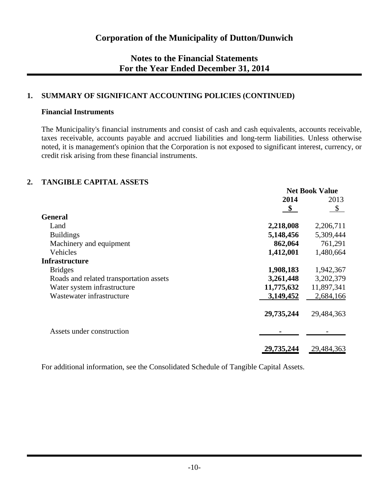### **1. SUMMARY OF SIGNIFICANT ACCOUNTING POLICIES (CONTINUED)**

#### **Financial Instruments**

The Municipality's financial instruments and consist of cash and cash equivalents, accounts receivable, taxes receivable, accounts payable and accrued liabilities and long-term liabilities. Unless otherwise noted, it is management's opinion that the Corporation is not exposed to significant interest, currency, or credit risk arising from these financial instruments.

### **2. TANGIBLE CAPITAL ASSETS**

|                                         | <b>Net Book Value</b>  |              |  |
|-----------------------------------------|------------------------|--------------|--|
|                                         | 2014                   | 2013         |  |
|                                         | $\mathbf{\mathcal{S}}$ | $\mathbb{S}$ |  |
| <b>General</b>                          |                        |              |  |
| Land                                    | 2,218,008              | 2,206,711    |  |
| <b>Buildings</b>                        | 5,148,456              | 5,309,444    |  |
| Machinery and equipment                 | 862,064                | 761,291      |  |
| Vehicles                                | 1,412,001              | 1,480,664    |  |
| <b>Infrastructure</b>                   |                        |              |  |
| <b>Bridges</b>                          | 1,908,183              | 1,942,367    |  |
| Roads and related transportation assets | 3,261,448              | 3,202,379    |  |
| Water system infrastructure             | 11,775,632             | 11,897,341   |  |
| Wastewater infrastructure               | 3,149,452              | 2,684,166    |  |
|                                         | 29,735,244             | 29,484,363   |  |
| Assets under construction               |                        |              |  |
|                                         | 29,735,244             | 29,484,363   |  |

For additional information, see the Consolidated Schedule of Tangible Capital Assets.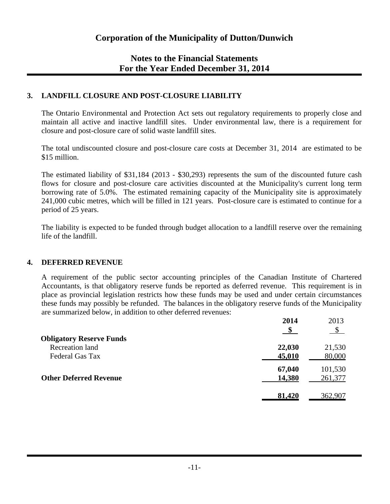### **3. LANDFILL CLOSURE AND POST-CLOSURE LIABILITY**

The Ontario Environmental and Protection Act sets out regulatory requirements to properly close and maintain all active and inactive landfill sites. Under environmental law, there is a requirement for closure and post-closure care of solid waste landfill sites.

The total undiscounted closure and post-closure care costs at December 31, 2014 are estimated to be \$15 million.

The estimated liability of \$31,184 (2013 - \$30,293) represents the sum of the discounted future cash flows for closure and post-closure care activities discounted at the Municipality's current long term borrowing rate of 5.0%. The estimated remaining capacity of the Municipality site is approximately 241,000 cubic metres, which will be filled in 121 years. Post-closure care is estimated to continue for a period of 25 years.

The liability is expected to be funded through budget allocation to a landfill reserve over the remaining life of the landfill.

#### **4. DEFERRED REVENUE**

A requirement of the public sector accounting principles of the Canadian Institute of Chartered Accountants, is that obligatory reserve funds be reported as deferred revenue. This requirement is in place as provincial legislation restricts how these funds may be used and under certain circumstances these funds may possibly be refunded. The balances in the obligatory reserve funds of the Municipality are summarized below, in addition to other deferred revenues:

|                                 | 2014   | 2013    |
|---------------------------------|--------|---------|
|                                 |        |         |
| <b>Obligatory Reserve Funds</b> |        |         |
| Recreation land                 | 22,030 | 21,530  |
| Federal Gas Tax                 | 45,010 | 80,000  |
|                                 | 67,040 | 101,530 |
| <b>Other Deferred Revenue</b>   | 14,380 | 261,377 |
|                                 |        |         |
|                                 | 81,420 | 362,907 |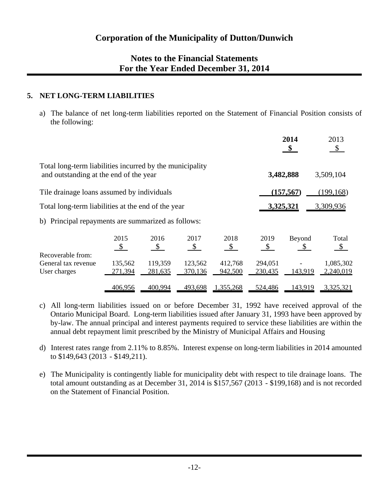### **5. NET LONG-TERM LIABILITIES**

a) The balance of net long-term liabilities reported on the Statement of Financial Position consists of the following:

|                                                                                                    |                           |                                            |                              |                    |                              | 2014<br>\$              | 2013<br>$\mathbb{S}$   |
|----------------------------------------------------------------------------------------------------|---------------------------|--------------------------------------------|------------------------------|--------------------|------------------------------|-------------------------|------------------------|
| Total long-term liabilities incurred by the municipality<br>and outstanding at the end of the year |                           |                                            |                              |                    |                              | 3,482,888               | 3,509,104              |
| Tile drainage loans assumed by individuals                                                         |                           |                                            |                              |                    |                              | (157, 567)              | (199, 168)             |
| Total long-term liabilities at the end of the year                                                 |                           |                                            |                              |                    | 3,325,321                    |                         | 3,309,936              |
| b) Principal repayments are summarized as follows:                                                 |                           |                                            |                              |                    |                              |                         |                        |
| Recoverable from:                                                                                  | 2015<br>$\sqrt{s}$        | 2016<br>$\mathbf{\underline{\mathcal{E}}}$ | 2017<br>$\sqrt{\frac{1}{2}}$ | 2018<br>$\sqrt{S}$ | 2019<br>$\sqrt{\frac{1}{2}}$ | Beyond<br>$\mathcal{S}$ | Total<br>$\mathcal{S}$ |
| General tax revenue<br>User charges                                                                | 135,562<br><u>271,394</u> | 119,359<br>281,635                         | 123,562<br>370,136           | 412,768<br>942,500 | 294,051<br>230,435           | 143,919                 | 1,085,302<br>2,240,019 |
|                                                                                                    | 406,956                   | 400,994                                    | 493,698                      | 1,355,268          | 524,486                      | 143,919                 | 3,325,321              |

- c) All long-term liabilities issued on or before December 31, 1992 have received approval of the Ontario Municipal Board. Long-term liabilities issued after January 31, 1993 have been approved by by-law. The annual principal and interest payments required to service these liabilities are within the annual debt repayment limit prescribed by the Ministry of Municipal Affairs and Housing
- d) Interest rates range from 2.11% to 8.85%. Interest expense on long-term liabilities in 2014 amounted to \$149,643 (2013 - \$149,211).
- e) The Municipality is contingently liable for municipality debt with respect to tile drainage loans. The total amount outstanding as at December 31, 2014 is \$157,567 (2013 - \$199,168) and is not recorded on the Statement of Financial Position.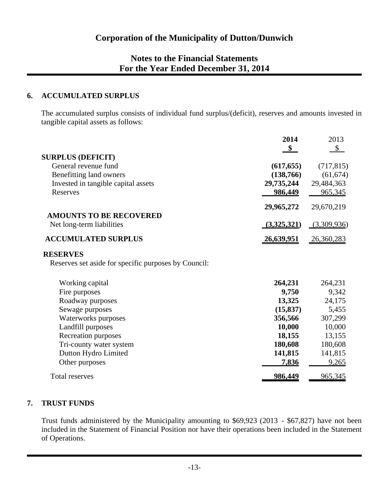### **6. ACCUMULATED SURPLUS**

The accumulated surplus consists of individual fund surplus/(deficit), reserves and amounts invested in tangible capital assets as follows:

|                                                      | 2014              | 2013        |
|------------------------------------------------------|-------------------|-------------|
|                                                      | $\mathbf{\$}$     | \$          |
| <b>SURPLUS (DEFICIT)</b>                             |                   |             |
| General revenue fund                                 | (617, 655)        | (717, 815)  |
| Benefitting land owners                              | (138,766)         | (61, 674)   |
| Invested in tangible capital assets                  | 29,735,244        | 29,484,363  |
| Reserves                                             | 986,449           | 965,345     |
|                                                      | 29,965,272        | 29,670,219  |
| <b>AMOUNTS TO BE RECOVERED</b>                       |                   |             |
| Net long-term liabilities                            | (3,325,321)       | (3,309,936) |
| <b>ACCUMULATED SURPLUS</b>                           | <u>26,639,951</u> | 26,360,283  |
| <b>RESERVES</b>                                      |                   |             |
| Reserves set aside for specific purposes by Council: |                   |             |
| Working capital                                      | 264,231           | 264,231     |
| Fire purposes                                        | 9,750             | 9,342       |
| Roadway purposes                                     | 13,325            | 24,175      |
| Sewage purposes                                      | (15, 837)         | 5,455       |
| Waterworks purposes                                  | 356,566           | 307,299     |
| Landfill purposes                                    | 10,000            | 10,000      |
| Recreation purposes                                  | 18,155            | 13,155      |
| Tri-county water system                              | 180,608           | 180,608     |
| Dutton Hydro Limited                                 | 141,815           | 141,815     |
| Other purposes                                       | 7,836             | 9,265       |
| Total reserves                                       | <u>986,449</u>    | 965,345     |

### **7. TRUST FUNDS**

Trust funds administered by the Municipality amounting to \$69,923 (2013 - \$67,827) have not been included in the Statement of Financial Position nor have their operations been included in the Statement of Operations.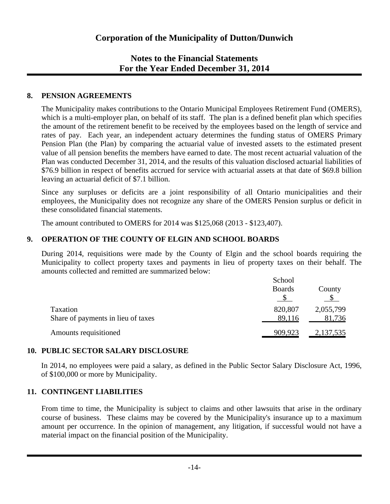### **8. PENSION AGREEMENTS**

The Municipality makes contributions to the Ontario Municipal Employees Retirement Fund (OMERS), which is a multi-employer plan, on behalf of its staff. The plan is a defined benefit plan which specifies the amount of the retirement benefit to be received by the employees based on the length of service and rates of pay. Each year, an independent actuary determines the funding status of OMERS Primary Pension Plan (the Plan) by comparing the actuarial value of invested assets to the estimated present value of all pension benefits the members have earned to date. The most recent actuarial valuation of the Plan was conducted December 31, 2014, and the results of this valuation disclosed actuarial liabilities of \$76.9 billion in respect of benefits accrued for service with actuarial assets at that date of \$69.8 billion leaving an actuarial deficit of \$7.1 billion.

Since any surpluses or deficits are a joint responsibility of all Ontario municipalities and their employees, the Municipality does not recognize any share of the OMERS Pension surplus or deficit in these consolidated financial statements.

The amount contributed to OMERS for 2014 was \$125,068 (2013 - \$123,407).

### **9. OPERATION OF THE COUNTY OF ELGIN AND SCHOOL BOARDS**

During 2014, requisitions were made by the County of Elgin and the school boards requiring the Municipality to collect property taxes and payments in lieu of property taxes on their behalf. The amounts collected and remitted are summarized below:

|                                    | School        |                  |
|------------------------------------|---------------|------------------|
|                                    | <b>Boards</b> | County           |
|                                    |               |                  |
| Taxation                           | 820,807       | 2,055,799        |
| Share of payments in lieu of taxes | 89,116        | 81,736           |
| Amounts requisitioned              | 909,923       | <u>2,137,535</u> |

### **10. PUBLIC SECTOR SALARY DISCLOSURE**

In 2014, no employees were paid a salary, as defined in the Public Sector Salary Disclosure Act, 1996, of \$100,000 or more by Municipality.

### **11. CONTINGENT LIABILITIES**

From time to time, the Municipality is subject to claims and other lawsuits that arise in the ordinary course of business. These claims may be covered by the Municipality's insurance up to a maximum amount per occurrence. In the opinion of management, any litigation, if successful would not have a material impact on the financial position of the Municipality.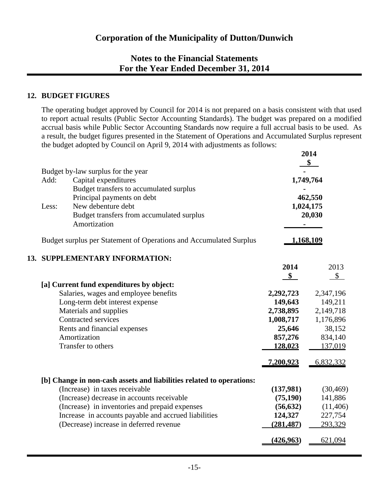### **12. BUDGET FIGURES**

The operating budget approved by Council for 2014 is not prepared on a basis consistent with that used to report actual results (Public Sector Accounting Standards). The budget was prepared on a modified accrual basis while Public Sector Accounting Standards now require a full accrual basis to be used. As a result, the budget figures presented in the Statement of Operations and Accumulated Surplus represent the budget adopted by Council on April 9, 2014 with adjustments as follows:

|       |                                                                      |               | 2014      |  |  |  |
|-------|----------------------------------------------------------------------|---------------|-----------|--|--|--|
|       | Budget by-law surplus for the year                                   |               | \$        |  |  |  |
| Add:  | Capital expenditures                                                 | 1,749,764     |           |  |  |  |
|       | Budget transfers to accumulated surplus                              |               |           |  |  |  |
|       | Principal payments on debt                                           | 462,550       |           |  |  |  |
| Less: | New debenture debt                                                   | 1,024,175     |           |  |  |  |
|       | Budget transfers from accumulated surplus                            |               | 20,030    |  |  |  |
|       | Amortization                                                         |               |           |  |  |  |
|       | Budget surplus per Statement of Operations and Accumulated Surplus   | 1,168,109     |           |  |  |  |
|       | 13. SUPPLEMENTARY INFORMATION:                                       |               |           |  |  |  |
|       |                                                                      | 2014          | 2013      |  |  |  |
|       |                                                                      | $\frac{1}{2}$ | \$        |  |  |  |
|       | [a] Current fund expenditures by object:                             |               |           |  |  |  |
|       | Salaries, wages and employee benefits                                | 2,292,723     | 2,347,196 |  |  |  |
|       | Long-term debt interest expense                                      | 149,643       | 149,211   |  |  |  |
|       | Materials and supplies                                               | 2,738,895     | 2,149,718 |  |  |  |
|       | Contracted services                                                  | 1,008,717     | 1,176,896 |  |  |  |
|       | Rents and financial expenses                                         | 25,646        | 38,152    |  |  |  |
|       | Amortization                                                         | 857,276       | 834,140   |  |  |  |
|       | Transfer to others                                                   | 128,023       | 137,019   |  |  |  |
|       |                                                                      | 7,200,923     | 6,832,332 |  |  |  |
|       | [b] Change in non-cash assets and liabilities related to operations: |               |           |  |  |  |
|       | (Increase) in taxes receivable                                       | (137,981)     | (30, 469) |  |  |  |
|       | (Increase) decrease in accounts receivable                           | (75, 190)     | 141,886   |  |  |  |
|       | (Increase) in inventories and prepaid expenses                       | (56, 632)     | (11,406)  |  |  |  |
|       | Increase in accounts payable and accrued liabilities                 | 124,327       | 227,754   |  |  |  |
|       | (Decrease) increase in deferred revenue                              | (281, 487)    | 293,329   |  |  |  |
|       |                                                                      | (426, 963)    | 621,094   |  |  |  |
|       |                                                                      |               |           |  |  |  |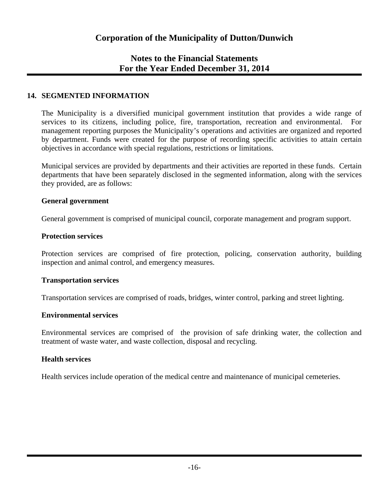### **14. SEGMENTED INFORMATION**

The Municipality is a diversified municipal government institution that provides a wide range of services to its citizens, including police, fire, transportation, recreation and environmental. For management reporting purposes the Municipality's operations and activities are organized and reported by department. Funds were created for the purpose of recording specific activities to attain certain objectives in accordance with special regulations, restrictions or limitations.

Municipal services are provided by departments and their activities are reported in these funds. Certain departments that have been separately disclosed in the segmented information, along with the services they provided, are as follows:

#### **General government**

General government is comprised of municipal council, corporate management and program support.

#### **Protection services**

Protection services are comprised of fire protection, policing, conservation authority, building inspection and animal control, and emergency measures.

#### **Transportation services**

Transportation services are comprised of roads, bridges, winter control, parking and street lighting.

#### **Environmental services**

Environmental services are comprised of the provision of safe drinking water, the collection and treatment of waste water, and waste collection, disposal and recycling.

#### **Health services**

Health services include operation of the medical centre and maintenance of municipal cemeteries.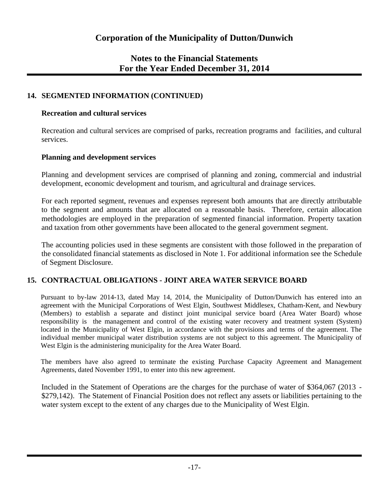### **14. SEGMENTED INFORMATION (CONTINUED)**

#### **Recreation and cultural services**

Recreation and cultural services are comprised of parks, recreation programs and facilities, and cultural services.

#### **Planning and development services**

Planning and development services are comprised of planning and zoning, commercial and industrial development, economic development and tourism, and agricultural and drainage services.

For each reported segment, revenues and expenses represent both amounts that are directly attributable to the segment and amounts that are allocated on a reasonable basis. Therefore, certain allocation methodologies are employed in the preparation of segmented financial information. Property taxation and taxation from other governments have been allocated to the general government segment.

The accounting policies used in these segments are consistent with those followed in the preparation of the consolidated financial statements as disclosed in Note 1. For additional information see the Schedule of Segment Disclosure.

### **15. CONTRACTUAL OBLIGATIONS - JOINT AREA WATER SERVICE BOARD**

Pursuant to by-law 2014-13, dated May 14, 2014, the Municipality of Dutton/Dunwich has entered into an agreement with the Municipal Corporations of West Elgin, Southwest Middlesex, Chatham-Kent, and Newbury (Members) to establish a separate and distinct joint municipal service board (Area Water Board) whose responsibility is the management and control of the existing water recovery and treatment system (System) located in the Municipality of West Elgin, in accordance with the provisions and terms of the agreement. The individual member municipal water distribution systems are not subject to this agreement. The Municipality of West Elgin is the administering municipality for the Area Water Board.

The members have also agreed to terminate the existing Purchase Capacity Agreement and Management Agreements, dated November 1991, to enter into this new agreement.

Included in the Statement of Operations are the charges for the purchase of water of \$364,067 (2013 - \$279,142). The Statement of Financial Position does not reflect any assets or liabilities pertaining to the water system except to the extent of any charges due to the Municipality of West Elgin.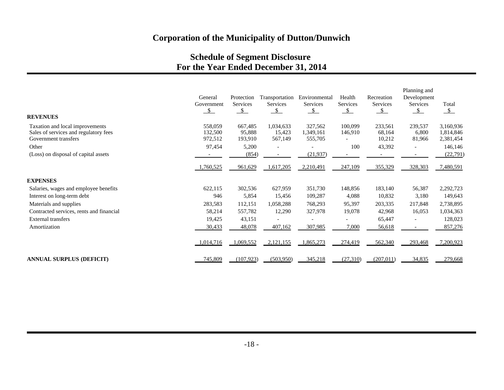## **Schedule of Segment Disclosure For the Year Ended December 31, 2014**

|                                          |               |                 |                 |                 |               |               | Planning and             |               |
|------------------------------------------|---------------|-----------------|-----------------|-----------------|---------------|---------------|--------------------------|---------------|
|                                          | General       | Protection      | Transportation  | Environmental   | Health        | Recreation    | Development              |               |
|                                          | Government    | <b>Services</b> | <b>Services</b> | <b>Services</b> | Services      | Services      | <b>Services</b>          | Total         |
|                                          | $\mathcal{S}$ | $\mathcal{S}$   | $\mathcal{S}$   | $\mathcal{S}$   | $\mathcal{S}$ | $\mathcal{S}$ | $\mathcal{S}$            | $\mathcal{S}$ |
| <b>REVENUES</b>                          |               |                 |                 |                 |               |               |                          |               |
| Taxation and local improvements          | 558,059       | 667,485         | 1,034,633       | 327,562         | 100,099       | 233,561       | 239,537                  | 3,160,936     |
| Sales of services and regulatory fees    | 132,500       | 95,888          | 15,423          | 1,349,161       | 146,910       | 68,164        | 6,800                    | 1,814,846     |
| Government transfers                     | 972,512       | 193,910         | 567,149         | 555,705         |               | 10,212        | 81,966                   | 2,381,454     |
| Other                                    | 97,454        | 5,200           |                 |                 | 100           | 43,392        | $\overline{\phantom{a}}$ | 146,146       |
| (Loss) on disposal of capital assets     |               | (854)           |                 | (21, 937)       |               |               |                          | (22, 791)     |
|                                          | 1,760,525     | 961,629         | 1,617,205       | 2,210,491       | 247,109       | 355,329       | 328,303                  | 7,480,591     |
| <b>EXPENSES</b>                          |               |                 |                 |                 |               |               |                          |               |
| Salaries, wages and employee benefits    | 622,115       | 302,536         | 627,959         | 351,730         | 148,856       | 183,140       | 56,387                   | 2,292,723     |
| Interest on long-term debt               | 946           | 5,854           | 15,456          | 109,287         | 4,088         | 10,832        | 3,180                    | 149,643       |
| Materials and supplies                   | 283,583       | 112,151         | 1,058,288       | 768,293         | 95,397        | 203,335       | 217,848                  | 2,738,895     |
| Contracted services, rents and financial | 58,214        | 557,782         | 12,290          | 327,978         | 19,078        | 42,968        | 16,053                   | 1,034,363     |
| <b>External transfers</b>                | 19,425        | 43,151          |                 |                 |               | 65,447        | $\overline{\phantom{a}}$ | 128,023       |
| Amortization                             | 30,433        | 48,078          | 407,162         | 307,985         | 7,000         | 56,618        | $\overline{\phantom{a}}$ | 857,276       |
|                                          | 1,014,716     | 1,069,552       | 2,121,155       | ,865,273        | 274,419       | 562,340       | 293,468                  | 7,200,923     |
| <b>ANNUAL SURPLUS (DEFICIT)</b>          | 745,809       | (107, 923)      | (503,950)       | 345,218         | (27,310)      | (207, 011)    | 34,835                   | 279,668       |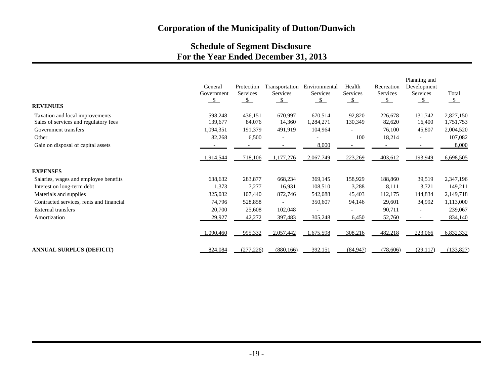# **Schedule of Segment Disclosure For the Year Ended December 31, 2013**

| <b>REVENUES</b>                          | General<br>Government<br>$\mathcal{S}$ | Protection<br>Services<br>$\mathcal{S}$ | Transportation<br><b>Services</b><br>$\mathcal{S}$ | Environmental<br>Services<br>$\mathcal{S}$ | Health<br>Services<br>$\mathcal{S}$ | Recreation<br>Services<br>$\mathcal{S}$ | Planning and<br>Development<br>Services<br>$\mathcal{S}$ | Total<br>$\frac{\mathsf{s}}{\mathsf{s}}$ |
|------------------------------------------|----------------------------------------|-----------------------------------------|----------------------------------------------------|--------------------------------------------|-------------------------------------|-----------------------------------------|----------------------------------------------------------|------------------------------------------|
| Taxation and local improvements          | 598,248                                | 436,151                                 | 670,997                                            | 670,514                                    | 92,820                              | 226,678                                 | 131,742                                                  | 2,827,150                                |
| Sales of services and regulatory fees    | 139,677                                | 84,076                                  | 14,360                                             | 1,284,271                                  | 130,349                             | 82,620                                  | 16,400                                                   | 1,751,753                                |
| Government transfers                     | 1,094,351                              | 191,379                                 | 491,919                                            | 104,964                                    |                                     | 76,100                                  | 45,807                                                   | 2,004,520                                |
| Other                                    | 82,268                                 | 6,500                                   |                                                    |                                            | 100                                 | 18,214                                  | $\overline{\phantom{a}}$                                 | 107,082                                  |
| Gain on disposal of capital assets       |                                        |                                         |                                                    | 8,000                                      |                                     |                                         |                                                          | 8,000                                    |
|                                          | 1,914,544                              | 718,106                                 | 1,177,276                                          | 2,067,749                                  | 223,269                             | 403,612                                 | 193,949                                                  | 6,698,505                                |
| <b>EXPENSES</b>                          |                                        |                                         |                                                    |                                            |                                     |                                         |                                                          |                                          |
| Salaries, wages and employee benefits    | 638,632                                | 283,877                                 | 668,234                                            | 369,145                                    | 158,929                             | 188,860                                 | 39,519                                                   | 2,347,196                                |
| Interest on long-term debt               | 1,373                                  | 7,277                                   | 16,931                                             | 108,510                                    | 3,288                               | 8,111                                   | 3,721                                                    | 149,211                                  |
| Materials and supplies                   | 325,032                                | 107,440                                 | 872,746                                            | 542,088                                    | 45,403                              | 112,175                                 | 144,834                                                  | 2,149,718                                |
| Contracted services, rents and financial | 74,796                                 | 528,858                                 |                                                    | 350,607                                    | 94,146                              | 29,601                                  | 34,992                                                   | 1,113,000                                |
| External transfers                       | 20,700                                 | 25,608                                  | 102,048                                            |                                            |                                     | 90,711                                  | $\overline{\phantom{a}}$                                 | 239,067                                  |
| Amortization                             | 29,927                                 | 42,272                                  | 397,483                                            | 305,248                                    | 6,450                               | 52,760                                  |                                                          | 834,140                                  |
|                                          | 1,090,460                              | 995,332                                 | 2,057,442                                          | 1,675,598                                  | 308,216                             | 482,218                                 | 223,066                                                  | 6,832,332                                |
| <b>ANNUAL SURPLUS (DEFICIT)</b>          | 824,084                                | (277, 226)                              | (880, 166)                                         | 392,151                                    | (84, 947)                           | (78, 606)                               | (29, 117)                                                | (133, 827)                               |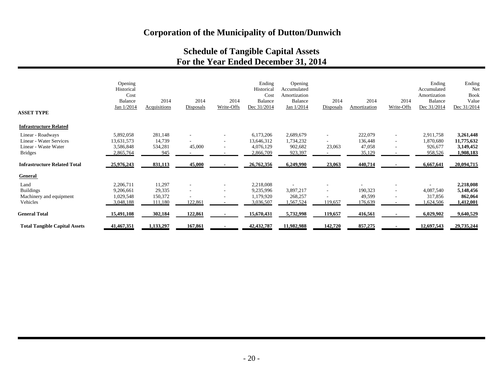## **Schedule of Tangible Capital Assets For the Year Ended December 31, 2014**

| <b>ASSET TYPE</b>                    | Opening<br>Historical<br>Cost<br><b>Balance</b><br>Jan 1/2014 | 2014<br>Acquisitions | 2014<br>Disposals        | 2014<br>Write-Offs       | Ending<br>Historica<br>Cost<br><b>Balance</b><br>Dec 31/2014 | Opening<br>Accumulated<br>Amortization<br>Balance<br>Jan 1/2014 | 2014<br>Disposals        | 2014<br>Amortization | 2014<br>Write-Offs       | Ending<br>Accumulated<br>Amortization<br><b>Balance</b><br>Dec 31/2014 | Ending<br>Net<br><b>Book</b><br>Value<br>Dec 31/2014 |
|--------------------------------------|---------------------------------------------------------------|----------------------|--------------------------|--------------------------|--------------------------------------------------------------|-----------------------------------------------------------------|--------------------------|----------------------|--------------------------|------------------------------------------------------------------------|------------------------------------------------------|
| <b>Infrastructure Related</b>        |                                                               |                      |                          |                          |                                                              |                                                                 |                          |                      |                          |                                                                        |                                                      |
| Linear - Roadways                    | 5,892,058                                                     | 281,148              |                          | ٠                        | 6,173,206                                                    | 2,689,679                                                       | $\overline{\phantom{a}}$ | 222,079              | ٠                        | 2,911,758                                                              | 3,261,448                                            |
| Linear - Water Services              | 13,631,573                                                    | 14,739               |                          | $\overline{\phantom{a}}$ | 13,646,312                                                   | 1,734,232                                                       | $\sim$                   | 136,448              | $\overline{\phantom{a}}$ | 1,870,680                                                              | 11,775,632                                           |
| Linear - Waste Water                 | 3,586,848                                                     | 534,281              | 45,000                   | ٠                        | 4,076,129                                                    | 902,682                                                         | 23,063                   | 47,058               |                          | 926,677                                                                | 3,149,452                                            |
| <b>Bridges</b>                       | 2,865,764                                                     | 945                  |                          |                          | 2,866,709                                                    | 923,397                                                         |                          | 35,129               |                          | 958,526                                                                | 1,908,183                                            |
| <b>Infrastructure Related Total</b>  | 25,976,243                                                    | 831,113              | 45,000                   |                          | 26,762,356                                                   | 6,249,990                                                       | 23,063                   | 440,714              |                          | 6,667,641                                                              | 20,094,715                                           |
| <b>General</b>                       |                                                               |                      |                          |                          |                                                              |                                                                 |                          |                      |                          |                                                                        |                                                      |
| Land                                 | 2,206,711                                                     | 11,297               |                          |                          | 2,218,008                                                    |                                                                 |                          |                      |                          |                                                                        | 2,218,008                                            |
| <b>Buildings</b>                     | 9,206,661                                                     | 29,335               | $\overline{\phantom{a}}$ | $\overline{\phantom{a}}$ | 9,235,996                                                    | 3,897,217                                                       | $\sim$                   | 190,323              | $\overline{\phantom{a}}$ | 4,087,540                                                              | 5,148,456                                            |
| Machinery and equipment              | 1,029,548                                                     | 150,372              |                          |                          | 1,179,920                                                    | 268,257                                                         |                          | 49,599               |                          | 317,856                                                                | 862,064                                              |
| Vehicles                             | 3,048,188                                                     | 111,180              | 122,861                  |                          | 3,036,507                                                    | ,567,524                                                        | 119,657                  | 176,639              |                          | 1,624,506                                                              | 1,412,001                                            |
| <b>General Total</b>                 | 15,491,108                                                    | 302,184              | 122,861                  |                          | 15,670,431                                                   | 5,732,998                                                       | 119,657                  | 416,561              |                          | 6,029,902                                                              | 9,640,529                                            |
| <b>Total Tangible Capital Assets</b> | 41,467,351                                                    | 1,133,297            | 167,861                  |                          | 42, 432, 787                                                 | 11,982,988                                                      | 142,720                  | 857,275              |                          | 12,697,543                                                             | 29,735,244                                           |